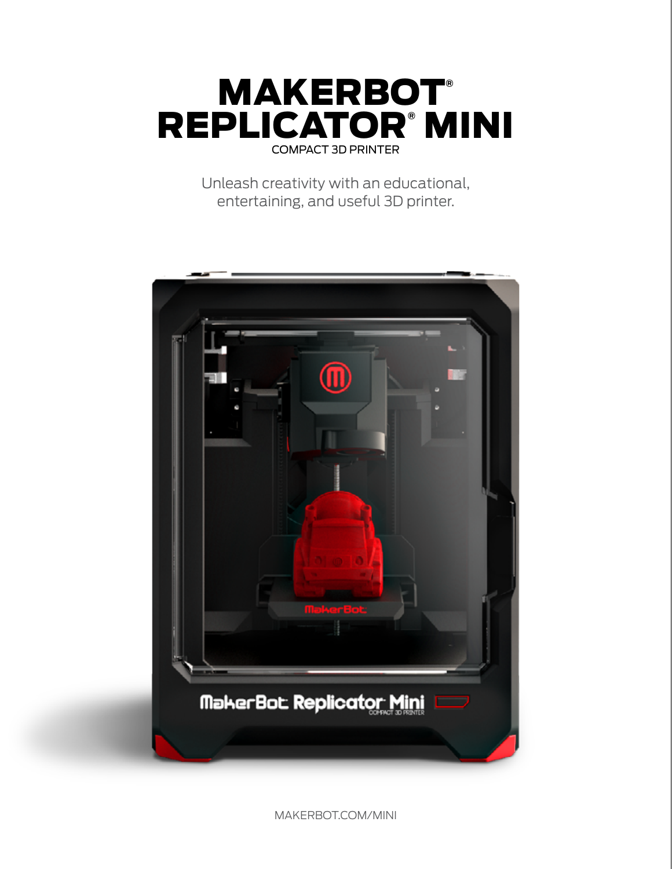

Unleash creativity with an educational, entertaining, and useful 3D printer.



MAKERBOT.COM/MINI